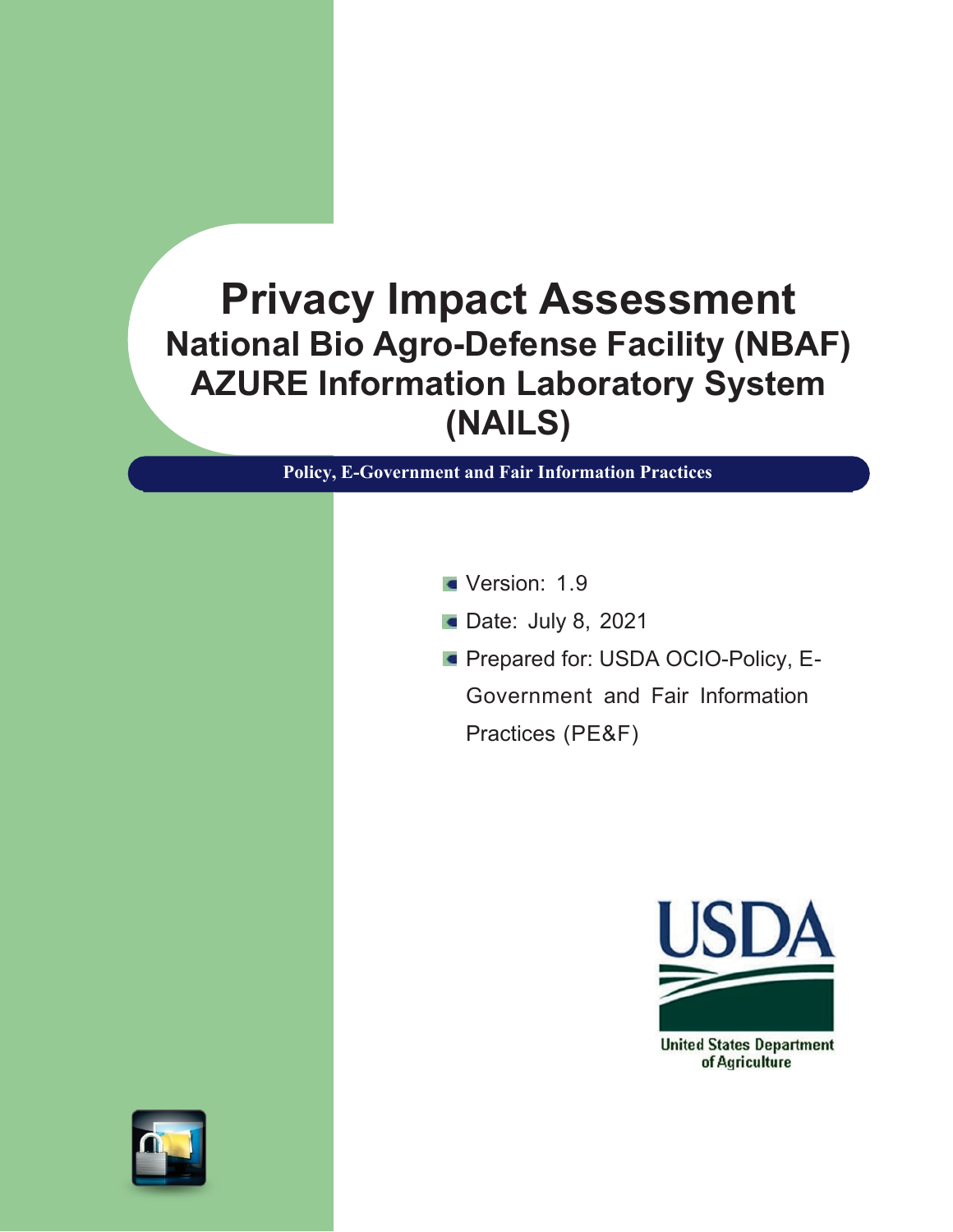# **Privacy Impact Assessment National Bio Agro-Defense Facility (NBAF) AZURE Information Laboratory System (NAILS)**

**Policy, E-Government and Fair Information Practices**

- Version: 1.9
- **Date: July 8, 2021**
- **Prepared for: USDA OCIO-Policy, E-**Government and Fair Information Practices (PE&F)



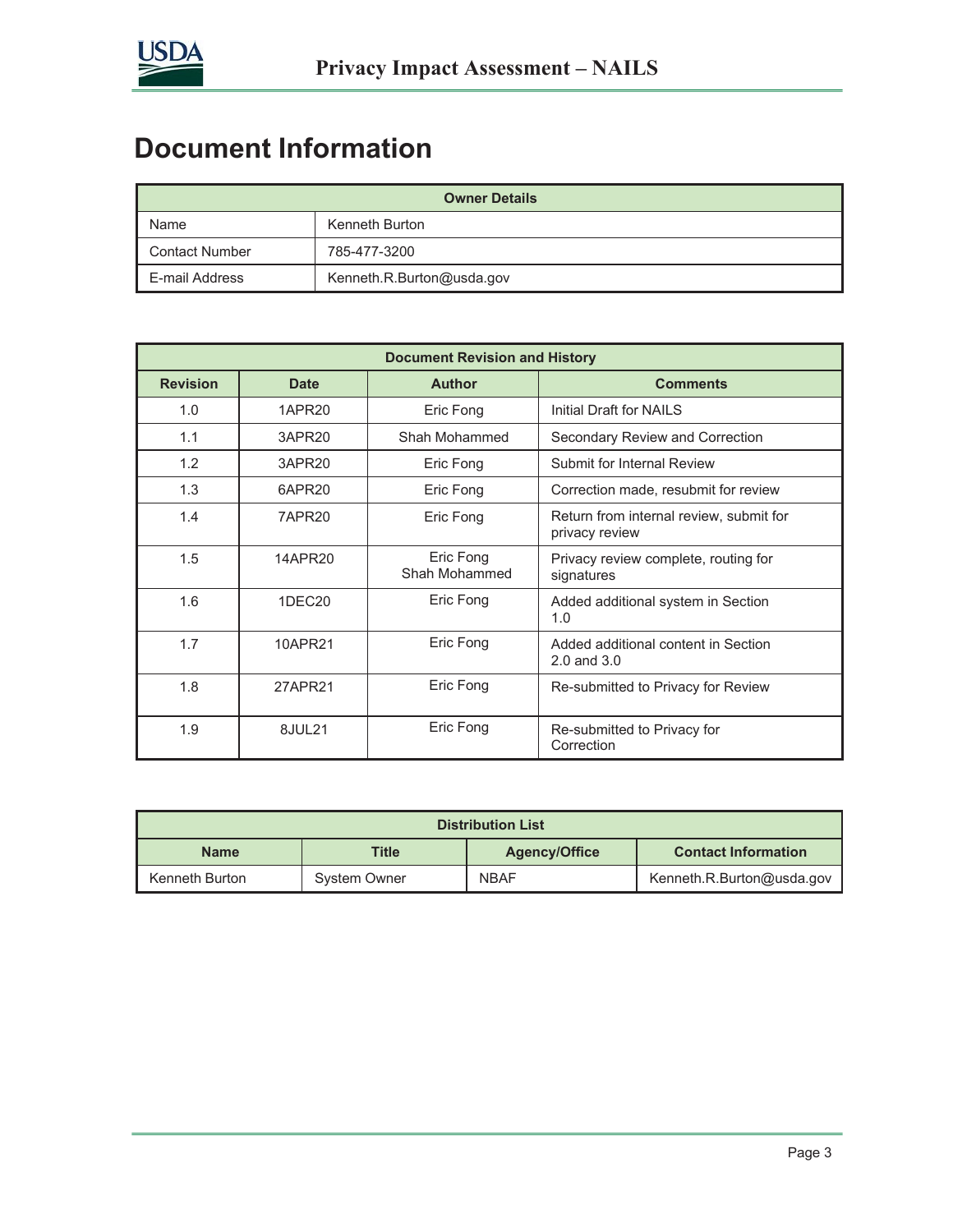

# **Document Information**

| <b>Owner Details</b>  |                           |  |  |  |
|-----------------------|---------------------------|--|--|--|
| Name                  | Kenneth Burton            |  |  |  |
| <b>Contact Number</b> | 785-477-3200              |  |  |  |
| E-mail Address        | Kenneth.R.Burton@usda.gov |  |  |  |

| <b>Document Revision and History</b> |                    |                            |                                                           |  |  |  |
|--------------------------------------|--------------------|----------------------------|-----------------------------------------------------------|--|--|--|
| <b>Revision</b><br><b>Date</b>       |                    | <b>Author</b>              | <b>Comments</b>                                           |  |  |  |
| 1.0                                  | 1APR20             | Eric Fong                  | Initial Draft for NAILS                                   |  |  |  |
| 1.1                                  | 3APR20             | Shah Mohammed              | Secondary Review and Correction                           |  |  |  |
| 1.2                                  | 3APR20             | Eric Fong                  | Submit for Internal Review                                |  |  |  |
| 1.3                                  | 6APR20             | Eric Fong                  | Correction made, resubmit for review                      |  |  |  |
| 1.4                                  | 7APR20             | Eric Fong                  | Return from internal review, submit for<br>privacy review |  |  |  |
| 1.5                                  | 14APR20            | Eric Fong<br>Shah Mohammed | Privacy review complete, routing for<br>signatures        |  |  |  |
| 1.6                                  | 1DEC <sub>20</sub> | Eric Fong                  | Added additional system in Section<br>1.0                 |  |  |  |
| 1.7                                  | 10APR21            | Eric Fong                  | Added additional content in Section<br>$2.0$ and $3.0$    |  |  |  |
| 1.8                                  | 27APR21            | Eric Fong                  | Re-submitted to Privacy for Review                        |  |  |  |
| 1.9                                  | 8JUL21             | Eric Fong                  | Re-submitted to Privacy for<br>Correction                 |  |  |  |

| <b>Distribution List</b> |              |                      |                            |  |  |  |
|--------------------------|--------------|----------------------|----------------------------|--|--|--|
| <b>Name</b>              | Title        | <b>Agency/Office</b> | <b>Contact Information</b> |  |  |  |
| Kenneth Burton           | System Owner | <b>NBAF</b>          | Kenneth.R.Burton@usda.gov  |  |  |  |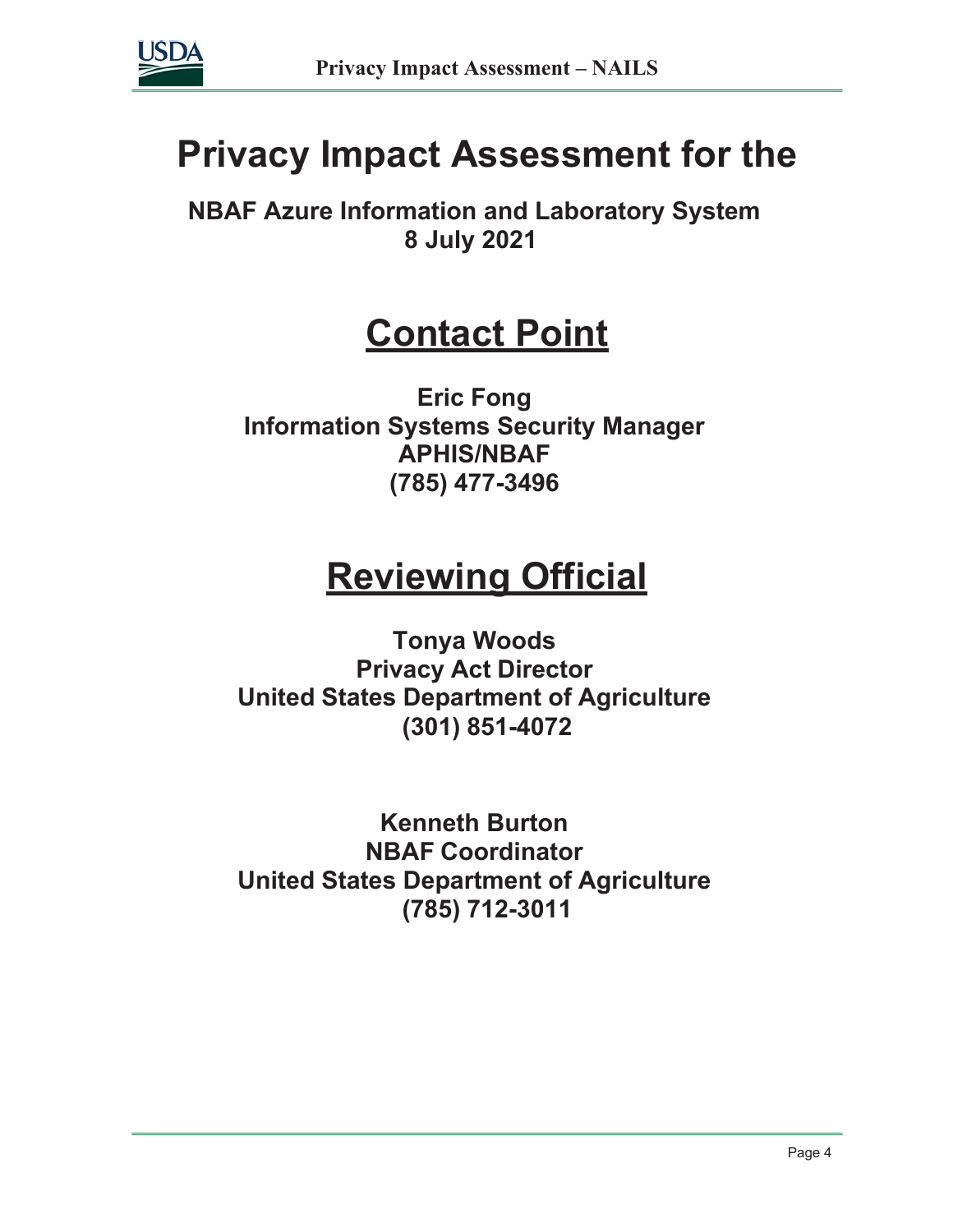

# **Privacy Impact Assessment for the**

**NBAF Azure Information and Laboratory System 8 July 2021**

# **Contact Point**

**Eric Fong Information Systems Security Manager APHIS/NBAF (785) 477-3496**

# **Reviewing Official**

**Tonya Woods Privacy Act Director United States Department of Agriculture (301) 851-4072**

**Kenneth Burton NBAF Coordinator United States Department of Agriculture (785) 712-3011**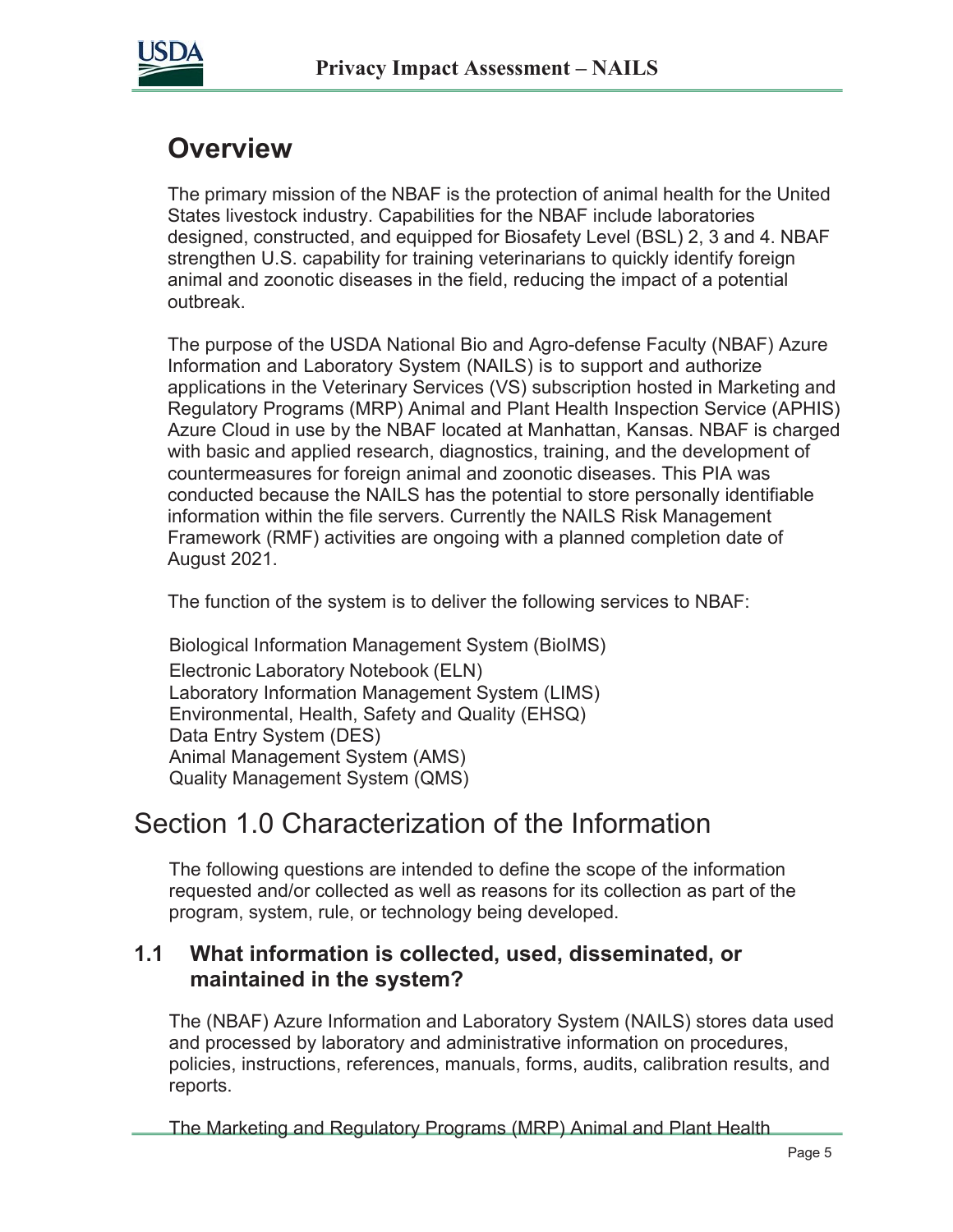

# **Overview**

The primary mission of the NBAF is the protection of animal health for the United States livestock industry. Capabilities for the NBAF include laboratories designed, constructed, and equipped for Biosafety Level (BSL) 2, 3 and 4. NBAF strengthen U.S. capability for training veterinarians to quickly identify foreign animal and zoonotic diseases in the field, reducing the impact of a potential outbreak.

The purpose of the USDA National Bio and Agro-defense Faculty (NBAF) Azure Information and Laboratory System (NAILS) is to support and authorize applications in the Veterinary Services (VS) subscription hosted in Marketing and Regulatory Programs (MRP) Animal and Plant Health Inspection Service (APHIS) Azure Cloud in use by the NBAF located at Manhattan, Kansas. NBAF is charged with basic and applied research, diagnostics, training, and the development of countermeasures for foreign animal and zoonotic diseases. This PIA was conducted because the NAILS has the potential to store personally identifiable information within the file servers. Currently the NAILS Risk Management Framework (RMF) activities are ongoing with a planned completion date of August 2021.

The function of the system is to deliver the following services to NBAF:

Biological Information Management System (BioIMS) Electronic Laboratory Notebook (ELN) Laboratory Information Management System (LIMS) Environmental, Health, Safety and Quality (EHSQ) Data Entry System (DES) Animal Management System (AMS) Quality Management System (QMS)

# Section 1.0 Characterization of the Information

The following questions are intended to define the scope of the information requested and/or collected as well as reasons for its collection as part of the program, system, rule, or technology being developed.

#### **1.1 What information is collected, used, disseminated, or maintained in the system?**

The (NBAF) Azure Information and Laboratory System (NAILS) stores data used and processed by laboratory and administrative information on procedures, policies, instructions, references, manuals, forms, audits, calibration results, and reports.

The Marketing and Regulatory Programs (MRP) Animal and Plant Health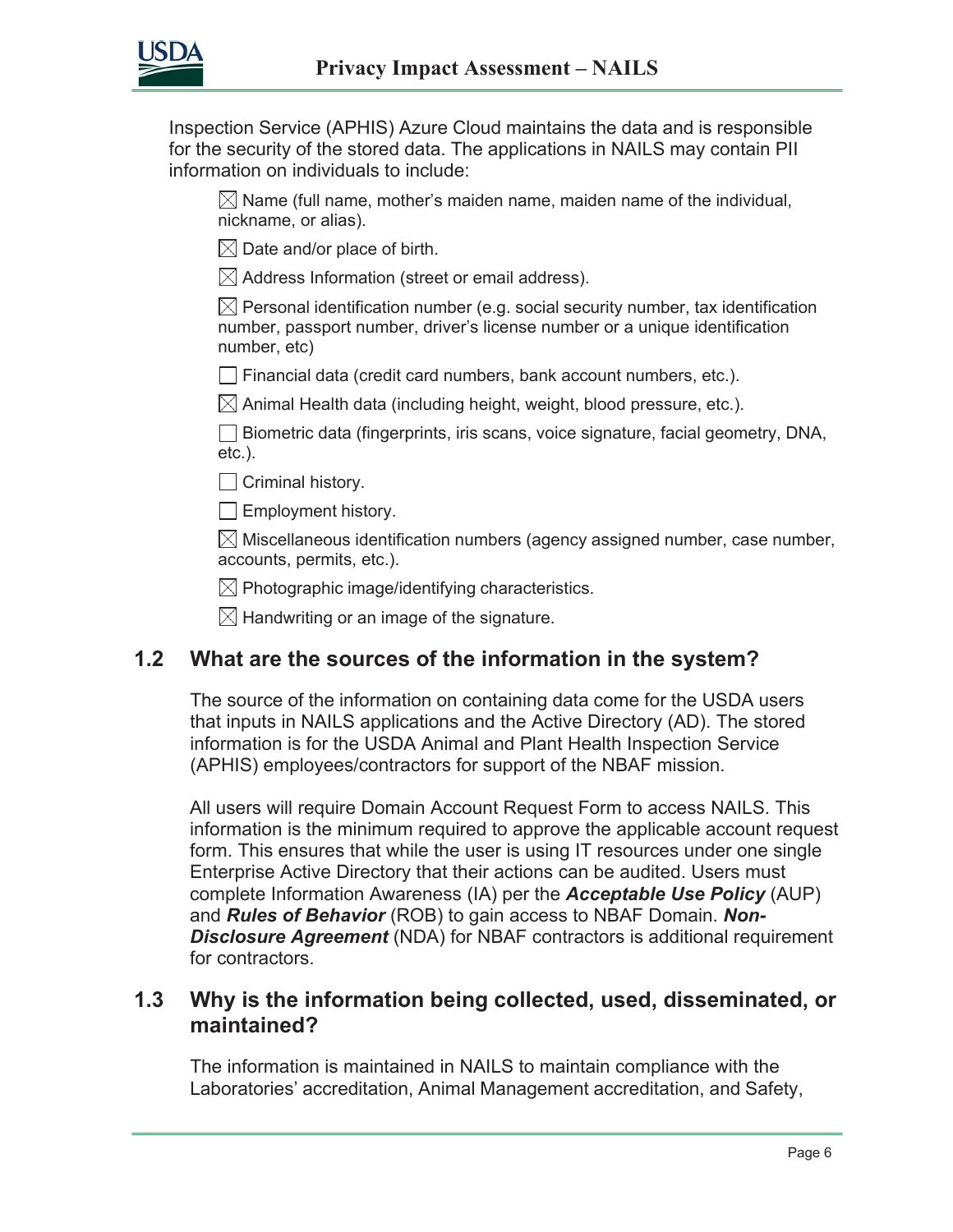

Inspection Service (APHIS) Azure Cloud maintains the data and is responsible for the security of the stored data. The applications in NAILS may contain PII information on individuals to include:

 $\boxtimes$  Name (full name, mother's maiden name, maiden name of the individual, nickname, or alias).

 $\boxtimes$  Date and/or place of birth.

 $\boxtimes$  Address Information (street or email address).

 $\boxtimes$  Personal identification number (e.g. social security number, tax identification number, passport number, driver's license number or a unique identification number, etc)

 $\Box$  Financial data (credit card numbers, bank account numbers, etc.).

 $\boxtimes$  Animal Health data (including height, weight, blood pressure, etc.).

 $\Box$  Biometric data (fingerprints, iris scans, voice signature, facial geometry, DNA, etc.).

 $\Box$  Criminal history.

 $\Box$  Employment history.

 $\boxtimes$  Miscellaneous identification numbers (agency assigned number, case number, accounts, permits, etc.).

 $\boxtimes$  Photographic image/identifying characteristics.

 $\boxtimes$  Handwriting or an image of the signature.

#### **1.2 What are the sources of the information in the system?**

The source of the information on containing data come for the USDA users that inputs in NAILS applications and the Active Directory (AD). The stored information is for the USDA Animal and Plant Health Inspection Service (APHIS) employees/contractors for support of the NBAF mission.

All users will require Domain Account Request Form to access NAILS. This information is the minimum required to approve the applicable account request form. This ensures that while the user is using IT resources under one single Enterprise Active Directory that their actions can be audited. Users must complete Information Awareness (IA) per the *Acceptable Use Policy* (AUP) and *Rules of Behavior* (ROB) to gain access to NBAF Domain. *Non-***Disclosure Agreement** (NDA) for NBAF contractors is additional requirement for contractors.

#### **1.3 Why is the information being collected, used, disseminated, or maintained?**

The information is maintained in NAILS to maintain compliance with the Laboratories' accreditation, Animal Management accreditation, and Safety,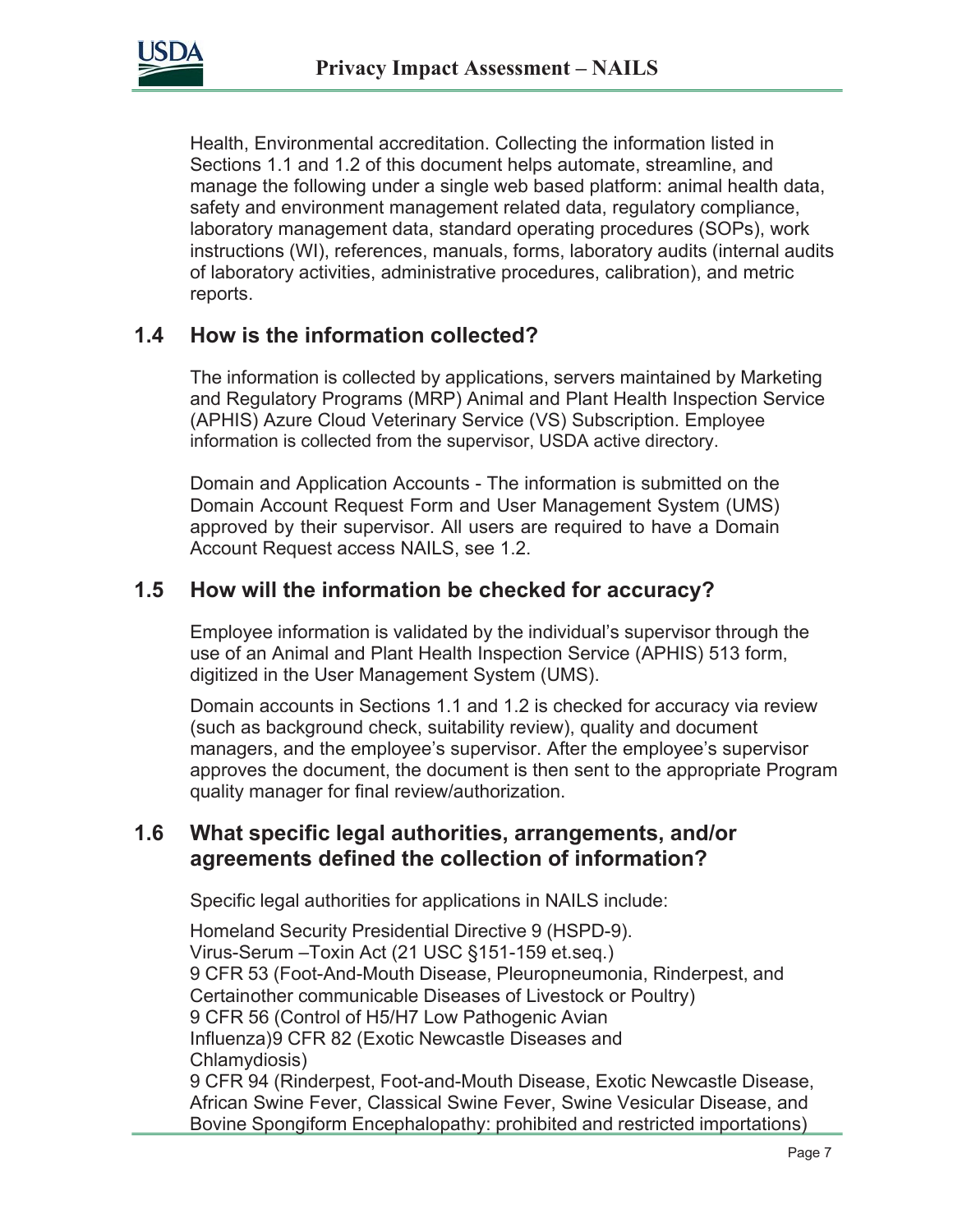

Health, Environmental accreditation. Collecting the information listed in Sections 1.1 and 1.2 of this document helps automate, streamline, and manage the following under a single web based platform: animal health data, safety and environment management related data, regulatory compliance, laboratory management data, standard operating procedures (SOPs), work instructions (WI), references, manuals, forms, laboratory audits (internal audits of laboratory activities, administrative procedures, calibration), and metric reports.

#### **1.4 How is the information collected?**

The information is collected by applications, servers maintained by Marketing and Regulatory Programs (MRP) Animal and Plant Health Inspection Service (APHIS) Azure Cloud Veterinary Service (VS) Subscription. Employee information is collected from the supervisor, USDA active directory.

Domain and Application Accounts - The information is submitted on the Domain Account Request Form and User Management System (UMS) approved by their supervisor. All users are required to have a Domain Account Request access NAILS, see 1.2.

#### **1.5 How will the information be checked for accuracy?**

Employee information is validated by the individual's supervisor through the use of an Animal and Plant Health Inspection Service (APHIS) 513 form, digitized in the User Management System (UMS).

Domain accounts in Sections 1.1 and 1.2 is checked for accuracy via review (such as background check, suitability review), quality and document managers, and the employee's supervisor. After the employee's supervisor approves the document, the document is then sent to the appropriate Program quality manager for final review/authorization.

#### **1.6 What specific legal authorities, arrangements, and/or agreements defined the collection of information?**

Specific legal authorities for applications in NAILS include:

Homeland Security Presidential Directive 9 (HSPD-9). Virus-Serum –Toxin Act (21 USC §151-159 et.seq.) 9 CFR 53 (Foot-And-Mouth Disease, Pleuropneumonia, Rinderpest, and Certainother communicable Diseases of Livestock or Poultry) 9 CFR 56 (Control of H5/H7 Low Pathogenic Avian Influenza)9 CFR 82 (Exotic Newcastle Diseases and Chlamydiosis) 9 CFR 94 (Rinderpest, Foot-and-Mouth Disease, Exotic Newcastle Disease, African Swine Fever, Classical Swine Fever, Swine Vesicular Disease, and Bovine Spongiform Encephalopathy: prohibited and restricted importations)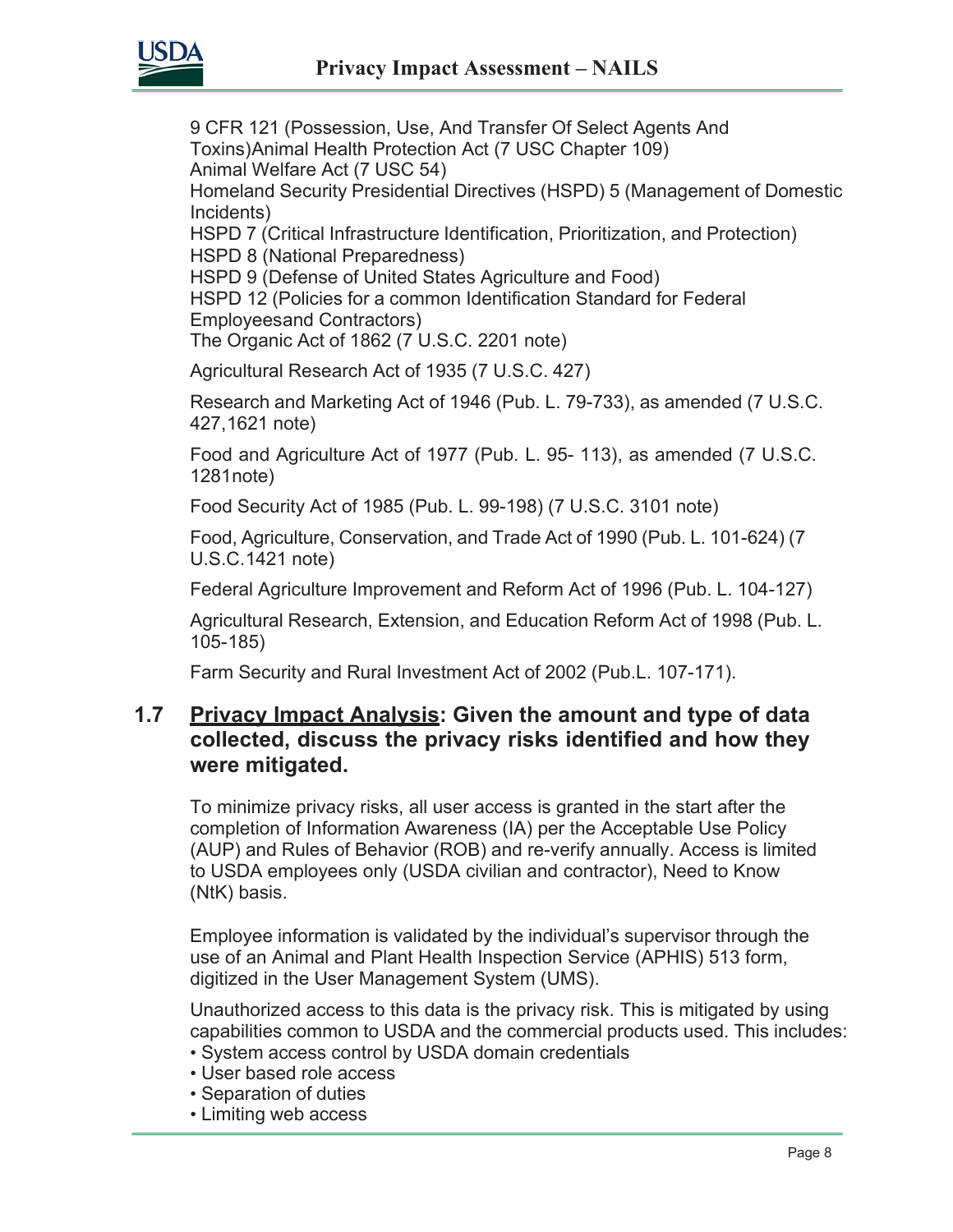

9 CFR 121 (Possession, Use, And Transfer Of Select Agents And Toxins)Animal Health Protection Act (7 USC Chapter 109) Animal Welfare Act (7 USC 54) Homeland Security Presidential Directives (HSPD) 5 (Management of Domestic

Incidents)

HSPD 7 (Critical Infrastructure Identification, Prioritization, and Protection) HSPD 8 (National Preparedness)

HSPD 9 (Defense of United States Agriculture and Food)

HSPD 12 (Policies for a common Identification Standard for Federal Employeesand Contractors)

The Organic Act of 1862 (7 U.S.C. 2201 note)

Agricultural Research Act of 1935 (7 U.S.C. 427)

Research and Marketing Act of 1946 (Pub. L. 79-733), as amended (7 U.S.C. 427,1621 note)

Food and Agriculture Act of 1977 (Pub. L. 95- 113), as amended (7 U.S.C. 1281note)

Food Security Act of 1985 (Pub. L. 99-198) (7 U.S.C. 3101 note)

Food, Agriculture, Conservation, and Trade Act of 1990 (Pub. L. 101-624) (7 U.S.C.1421 note)

Federal Agriculture Improvement and Reform Act of 1996 (Pub. L. 104-127)

Agricultural Research, Extension, and Education Reform Act of 1998 (Pub. L. 105-185)

Farm Security and Rural Investment Act of 2002 (Pub.L. 107-171).

#### **1.7 Privacy Impact Analysis: Given the amount and type of data collected, discuss the privacy risks identified and how they were mitigated.**

To minimize privacy risks, all user access is granted in the start after the completion of Information Awareness (IA) per the Acceptable Use Policy (AUP) and Rules of Behavior (ROB) and re-verify annually. Access is limited to USDA employees only (USDA civilian and contractor), Need to Know (NtK) basis.

Employee information is validated by the individual's supervisor through the use of an Animal and Plant Health Inspection Service (APHIS) 513 form, digitized in the User Management System (UMS).

Unauthorized access to this data is the privacy risk. This is mitigated by using capabilities common to USDA and the commercial products used. This includes:

- System access control by USDA domain credentials
- User based role access
- Separation of duties
- Limiting web access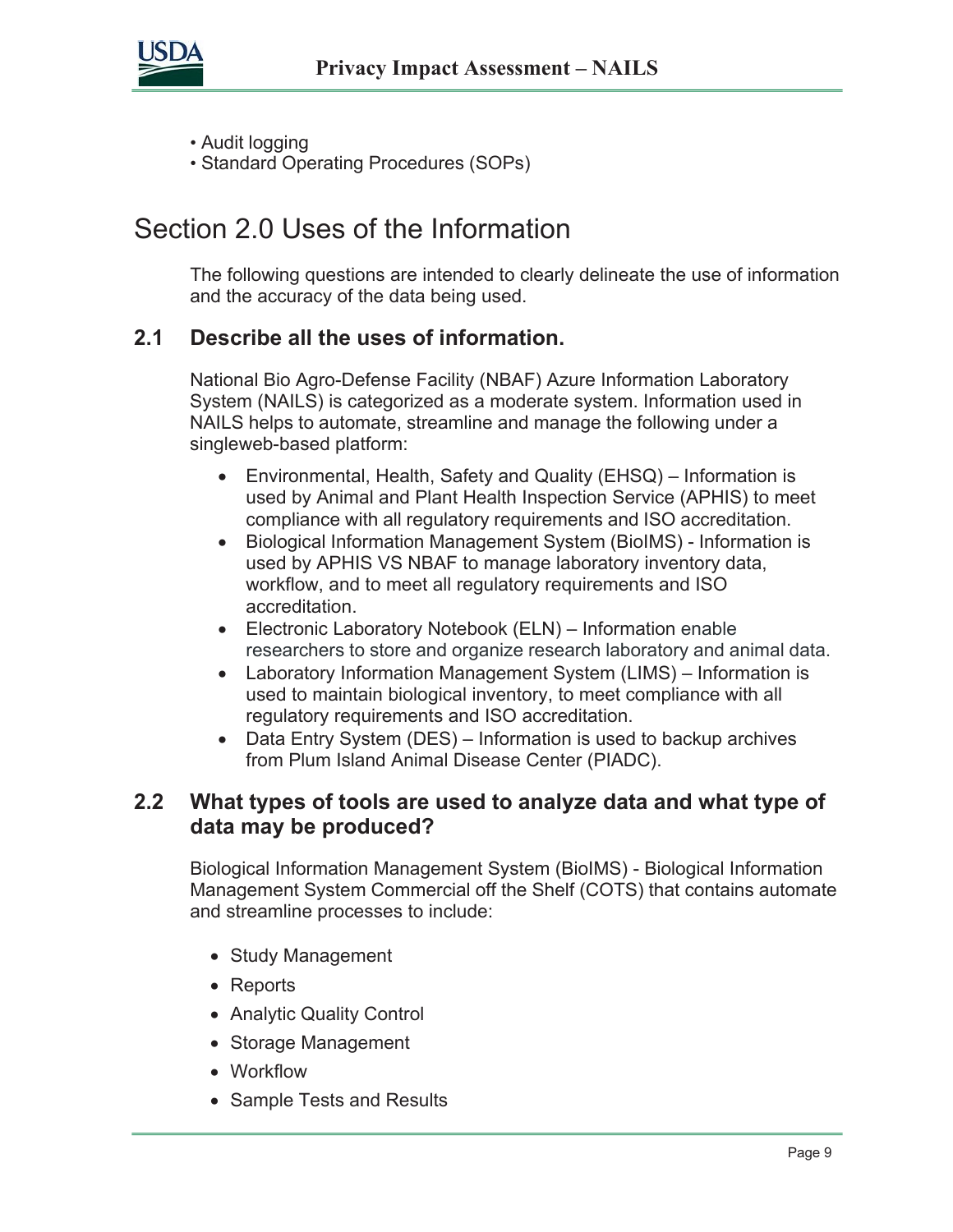

- Audit logging
- Standard Operating Procedures (SOPs)

# Section 2.0 Uses of the Information

The following questions are intended to clearly delineate the use of information and the accuracy of the data being used.

#### **2.1 Describe all the uses of information.**

National Bio Agro-Defense Facility (NBAF) Azure Information Laboratory System (NAILS) is categorized as a moderate system. Information used in NAILS helps to automate, streamline and manage the following under a singleweb-based platform:

- Environmental, Health, Safety and Quality (EHSQ) Information is used by Animal and Plant Health Inspection Service (APHIS) to meet compliance with all regulatory requirements and ISO accreditation.
- Biological Information Management System (BioIMS) Information is used by APHIS VS NBAF to manage laboratory inventory data, workflow, and to meet all regulatory requirements and ISO accreditation.
- Electronic Laboratory Notebook (ELN) Information enable researchers to store and organize research laboratory and animal data.
- Laboratory Information Management System (LIMS) Information is used to maintain biological inventory, to meet compliance with all regulatory requirements and ISO accreditation.
- Data Entry System (DES) Information is used to backup archives from Plum Island Animal Disease Center (PIADC).

#### **2.2 What types of tools are used to analyze data and what type of data may be produced?**

Biological Information Management System (BioIMS) - Biological Information Management System Commercial off the Shelf (COTS) that contains automate and streamline processes to include:

- Study Management
- Reports
- Analytic Quality Control
- Storage Management
- Workflow
- Sample Tests and Results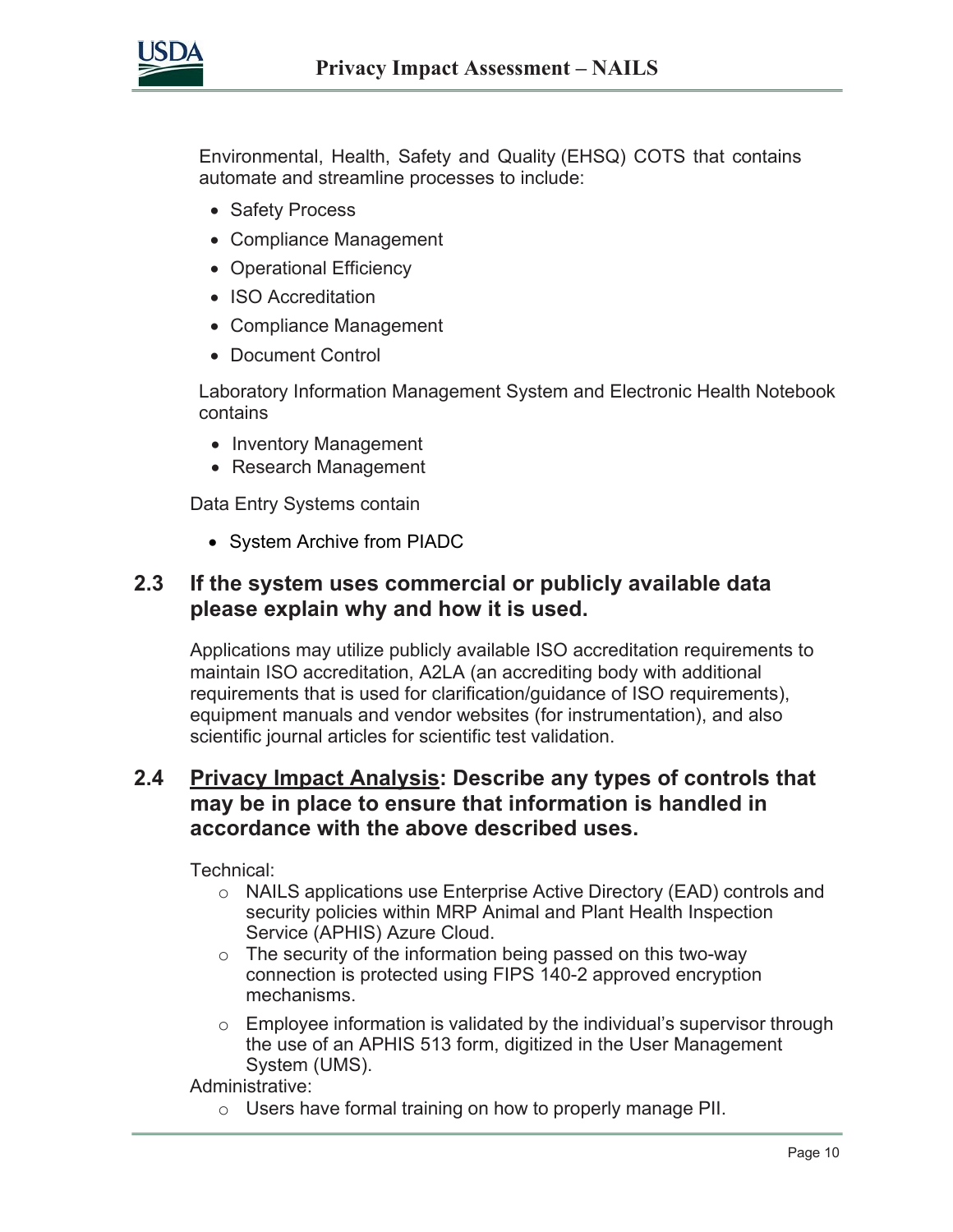

Environmental, Health, Safety and Quality (EHSQ) COTS that contains automate and streamline processes to include:

- Safety Process
- Compliance Management
- Operational Efficiency
- ISO Accreditation
- Compliance Management
- Document Control

Laboratory Information Management System and Electronic Health Notebook contains

- Inventory Management
- Research Management

Data Entry Systems contain

• System Archive from PIADC

#### **2.3 If the system uses commercial or publicly available data please explain why and how it is used.**

Applications may utilize publicly available ISO accreditation requirements to maintain ISO accreditation, A2LA (an accrediting body with additional requirements that is used for clarification/guidance of ISO requirements), equipment manuals and vendor websites (for instrumentation), and also scientific journal articles for scientific test validation.

#### **2.4 Privacy Impact Analysis: Describe any types of controls that may be in place to ensure that information is handled in accordance with the above described uses.**

Technical:

- o NAILS applications use Enterprise Active Directory (EAD) controls and security policies within MRP Animal and Plant Health Inspection Service (APHIS) Azure Cloud.
- o The security of the information being passed on this two-way connection is protected using FIPS 140-2 approved encryption mechanisms.
- $\circ$  Employee information is validated by the individual's supervisor through the use of an APHIS 513 form, digitized in the User Management System (UMS).

Administrative:

o Users have formal training on how to properly manage PII.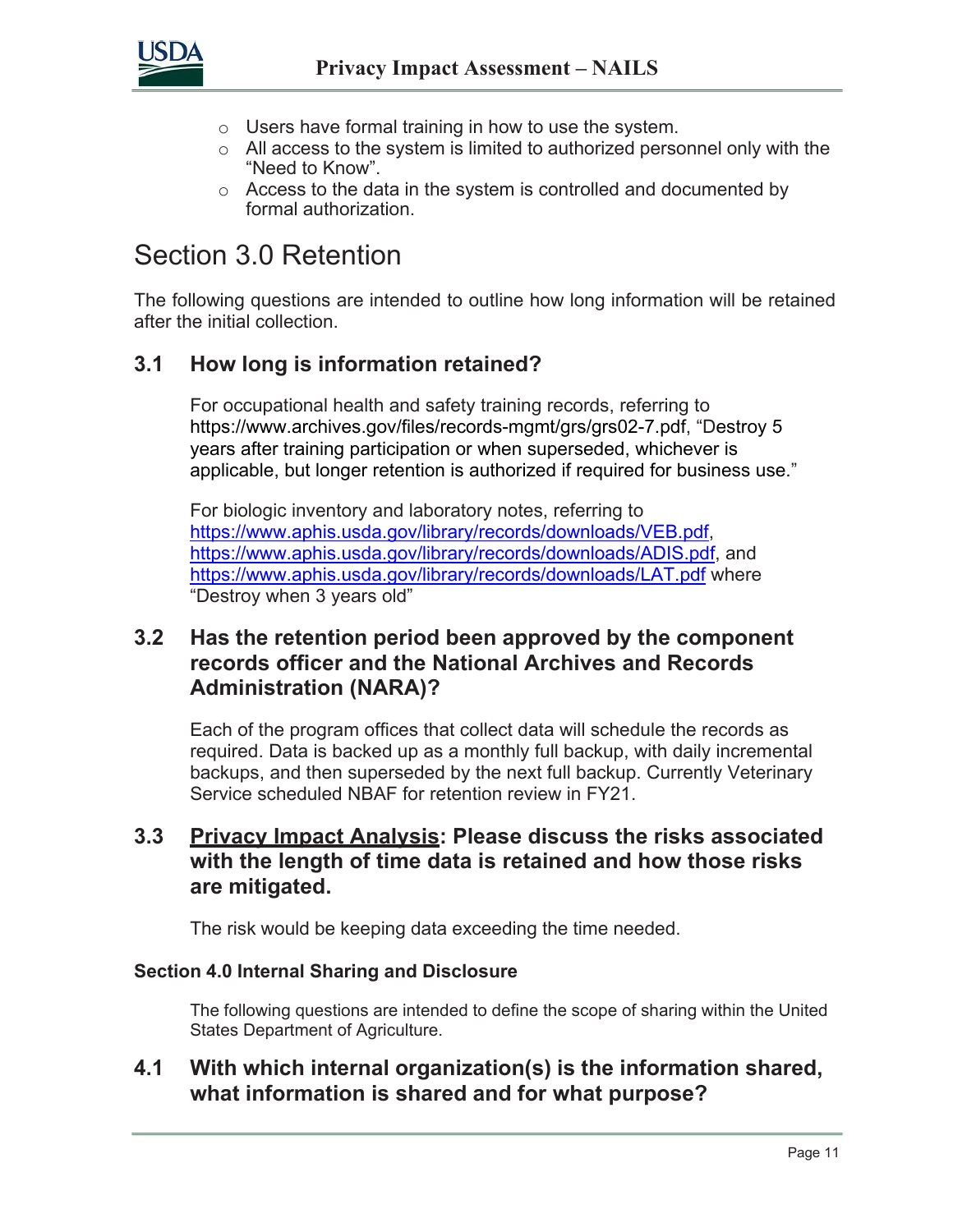

- o Users have formal training in how to use the system.
- $\circ$  All access to the system is limited to authorized personnel only with the "Need to Know".
- o Access to the data in the system is controlled and documented by formal authorization.

# Section 3.0 Retention

The following questions are intended to outline how long information will be retained after the initial collection.

#### **3.1 How long is information retained?**

For occupational health and safety training records, referring to https://www.archives.gov/files/records-mgmt/grs/grs02-7.pdf, "Destroy 5 years after training participation or when superseded, whichever is applicable, but longer retention is authorized if required for business use."

For biologic inventory and laboratory notes, referring to [https://www.aphis.usda.gov/library/records/downloads/VEB.pdf,](https://www.aphis.usda.gov/library/records/downloads/VEB.pdf) [https://www.aphis.usda.gov/library/records/downloads/ADIS.pdf,](https://www.aphis.usda.gov/library/records/downloads/ADIS.pdf) and <https://www.aphis.usda.gov/library/records/downloads/LAT.pdf> where "Destroy when 3 years old"

#### **3.2 Has the retention period been approved by the component records officer and the National Archives and Records Administration (NARA)?**

Each of the program offices that collect data will schedule the records as required. Data is backed up as a monthly full backup, with daily incremental backups, and then superseded by the next full backup. Currently Veterinary Service scheduled NBAF for retention review in FY21.

#### **3.3 Privacy Impact Analysis: Please discuss the risks associated with the length of time data is retained and how those risks are mitigated.**

The risk would be keeping data exceeding the time needed.

#### **Section 4.0 Internal Sharing and Disclosure**

The following questions are intended to define the scope of sharing within the United States Department of Agriculture.

#### **4.1 With which internal organization(s) is the information shared, what information is shared and for what purpose?**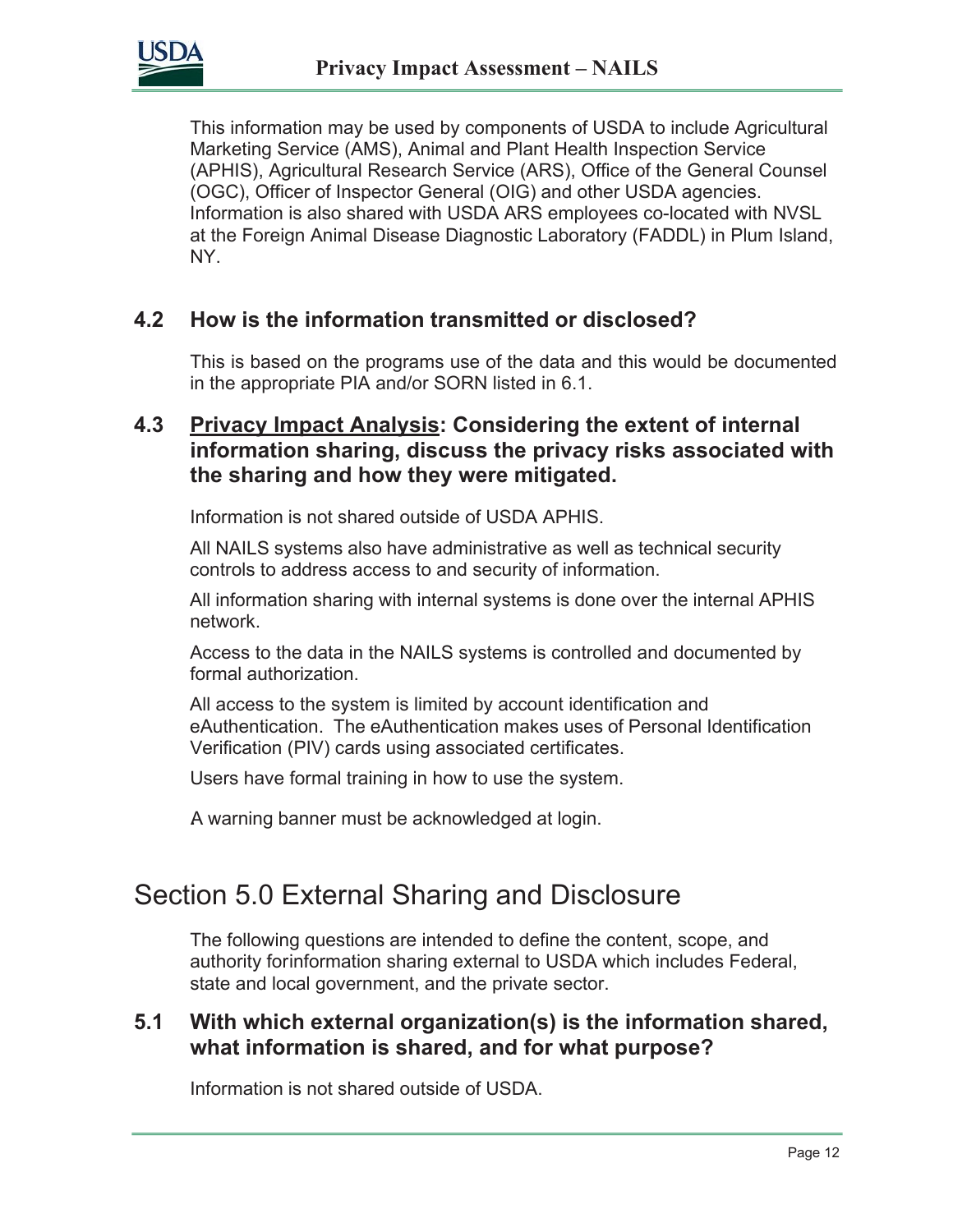

This information may be used by components of USDA to include Agricultural Marketing Service (AMS), Animal and Plant Health Inspection Service (APHIS), Agricultural Research Service (ARS), Office of the General Counsel (OGC), Officer of Inspector General (OIG) and other USDA agencies. Information is also shared with USDA ARS employees co-located with NVSL at the Foreign Animal Disease Diagnostic Laboratory (FADDL) in Plum Island, NY.

#### **4.2 How is the information transmitted or disclosed?**

This is based on the programs use of the data and this would be documented in the appropriate PIA and/or SORN listed in 6.1.

#### **4.3 Privacy Impact Analysis: Considering the extent of internal information sharing, discuss the privacy risks associated with the sharing and how they were mitigated.**

Information is not shared outside of USDA APHIS.

All NAILS systems also have administrative as well as technical security controls to address access to and security of information.

All information sharing with internal systems is done over the internal APHIS network.

Access to the data in the NAILS systems is controlled and documented by formal authorization.

All access to the system is limited by account identification and eAuthentication. The eAuthentication makes uses of Personal Identification Verification (PIV) cards using associated certificates.

Users have formal training in how to use the system.

.A warning banner must be acknowledged at login.

### Section 5.0 External Sharing and Disclosure

The following questions are intended to define the content, scope, and authority forinformation sharing external to USDA which includes Federal, state and local government, and the private sector.

#### **5.1 With which external organization(s) is the information shared, what information is shared, and for what purpose?**

Information is not shared outside of USDA.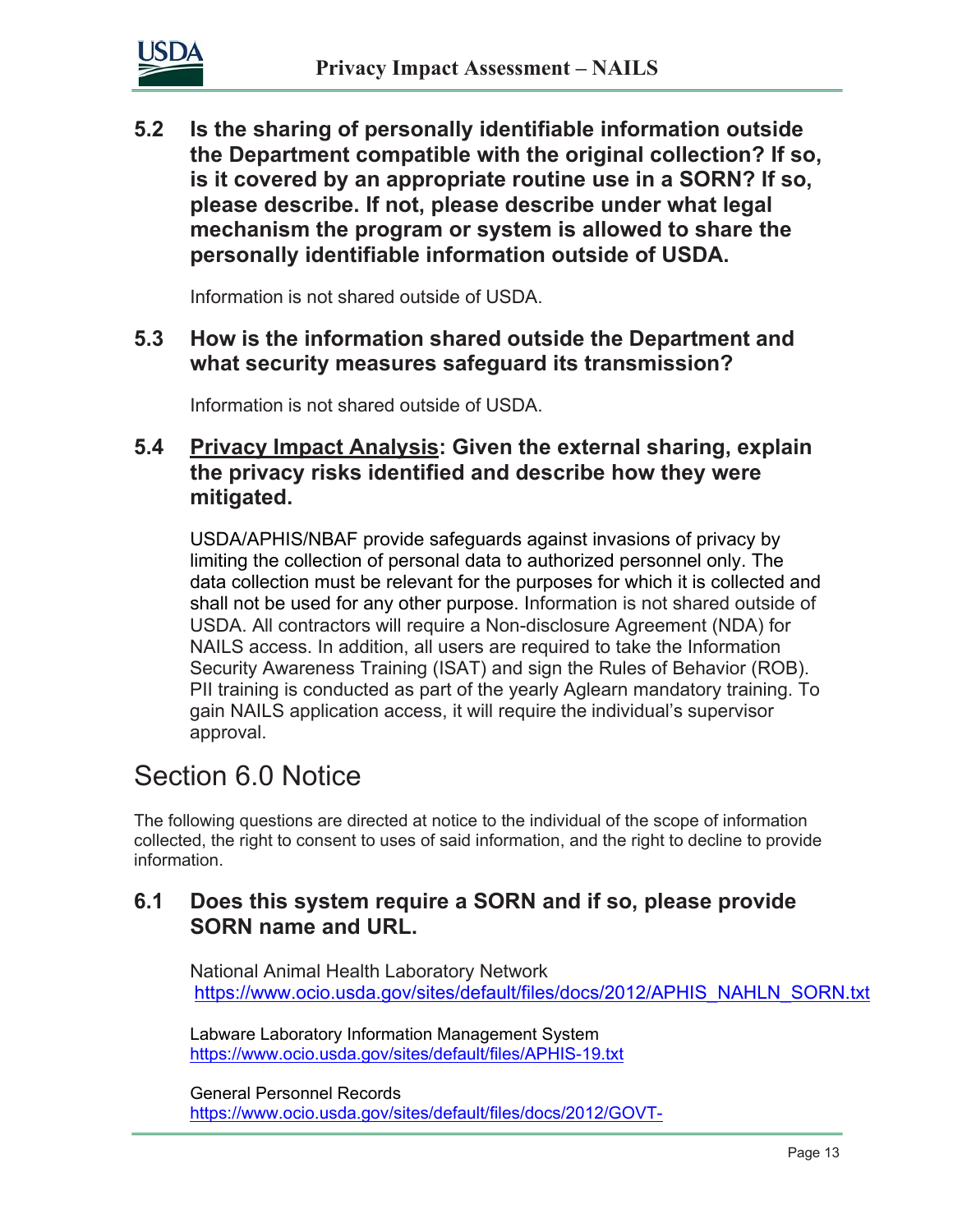

**5.2 Is the sharing of personally identifiable information outside the Department compatible with the original collection? If so, is it covered by an appropriate routine use in a SORN? If so, please describe. If not, please describe under what legal mechanism the program or system is allowed to share the personally identifiable information outside of USDA.**

Information is not shared outside of USDA.

#### **5.3 How is the information shared outside the Department and what security measures safeguard its transmission?**

Information is not shared outside of USDA.

#### **5.4 Privacy Impact Analysis: Given the external sharing, explain the privacy risks identified and describe how they were mitigated.**

USDA/APHIS/NBAF provide safeguards against invasions of privacy by limiting the collection of personal data to authorized personnel only. The data collection must be relevant for the purposes for which it is collected and shall not be used for any other purpose. Information is not shared outside of USDA. All contractors will require a Non-disclosure Agreement (NDA) for NAILS access. In addition, all users are required to take the Information Security Awareness Training (ISAT) and sign the Rules of Behavior (ROB). PII training is conducted as part of the yearly Aglearn mandatory training. To gain NAILS application access, it will require the individual's supervisor approval.

# Section 6.0 Notice

The following questions are directed at notice to the individual of the scope of information collected, the right to consent to uses of said information, and the right to decline to provide information.

#### **6.1 Does this system require a SORN and if so, please provide SORN name and URL.**

National Animal Health Laboratory Network [https://www.ocio.usda.gov/sites/default/files/docs/2012/APHIS\\_NAHLN\\_SORN.txt](https://www.ocio.usda.gov/sites/default/files/docs/2012/APHIS_NAHLN_SORN.txt)

Labware Laboratory Information Management System <https://www.ocio.usda.gov/sites/default/files/APHIS-19.txt>

General Personnel Records [https://www.ocio.usda.gov/sites/default/files/docs/2012/GOVT-](https://www.ocio.usda.gov/sites/default/files/docs/2012/GOVT-1_General_Personnel_Records.txt)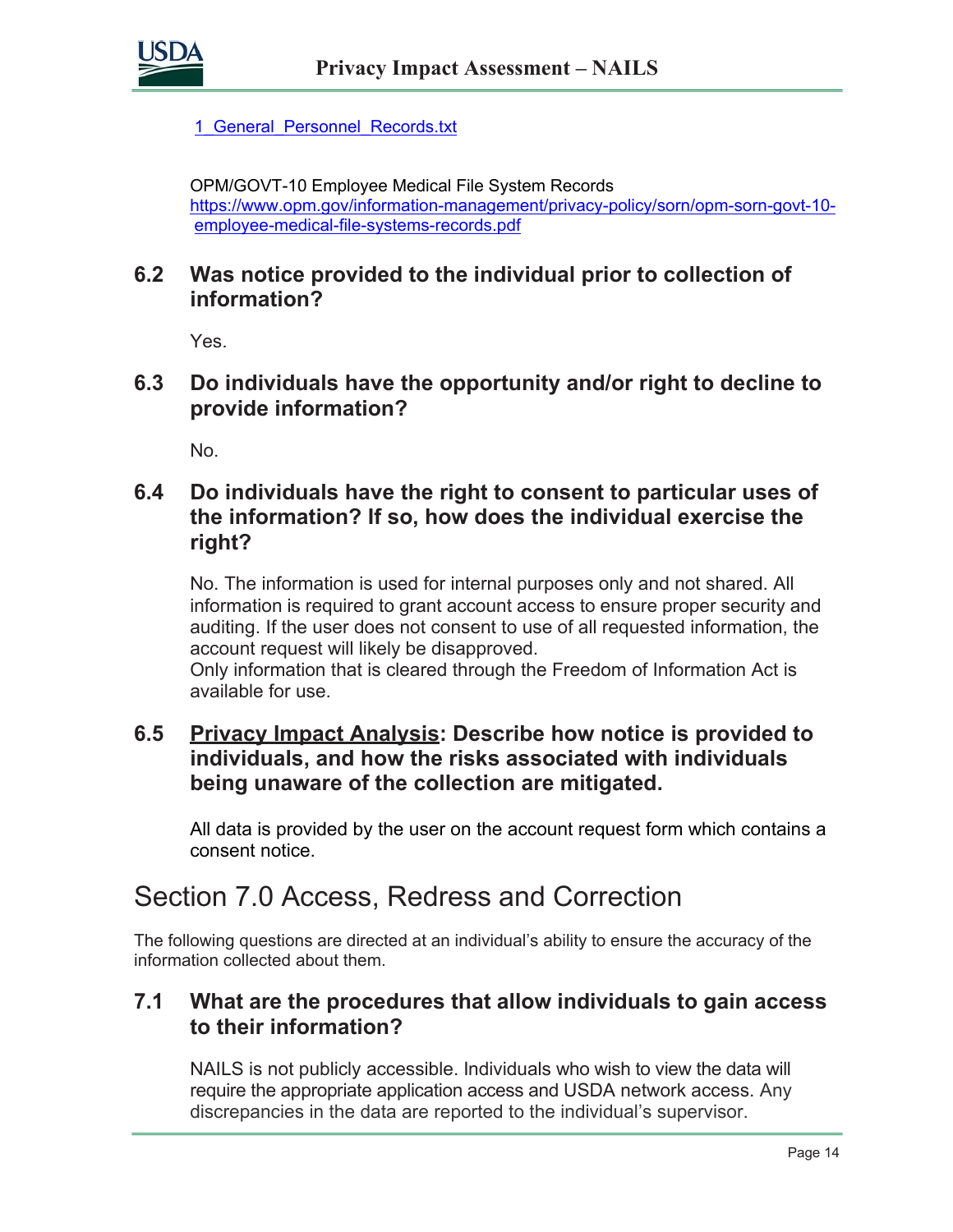

1 General Personnel Records.txt

OPM/GOVT-10 Employee Medical File System Records [https://www.opm.gov/information-management/privacy-policy/sorn/opm-sorn-govt-10](https://www.opm.gov/information-management/privacy-policy/sorn/opm-sorn-govt-10-employee-medical-file-systems-records.pdf) [employee-medical-file-systems-records.pdf](https://www.opm.gov/information-management/privacy-policy/sorn/opm-sorn-govt-10-employee-medical-file-systems-records.pdf)

#### **6.2 Was notice provided to the individual prior to collection of information?**

Yes.

**6.3 Do individuals have the opportunity and/or right to decline to provide information?**

No.

#### **6.4 Do individuals have the right to consent to particular uses of the information? If so, how does the individual exercise the right?**

No. The information is used for internal purposes only and not shared. All information is required to grant account access to ensure proper security and auditing. If the user does not consent to use of all requested information, the account request will likely be disapproved.

Only information that is cleared through the Freedom of Information Act is available for use.

#### **6.5 Privacy Impact Analysis: Describe how notice is provided to individuals, and how the risks associated with individuals being unaware of the collection are mitigated.**

All data is provided by the user on the account request form which contains a consent notice.

# Section 7.0 Access, Redress and Correction

The following questions are directed at an individual's ability to ensure the accuracy of the information collected about them.

#### **7.1 What are the procedures that allow individuals to gain access to their information?**

NAILS is not publicly accessible. Individuals who wish to view the data will require the appropriate application access and USDA network access. Any discrepancies in the data are reported to the individual's supervisor.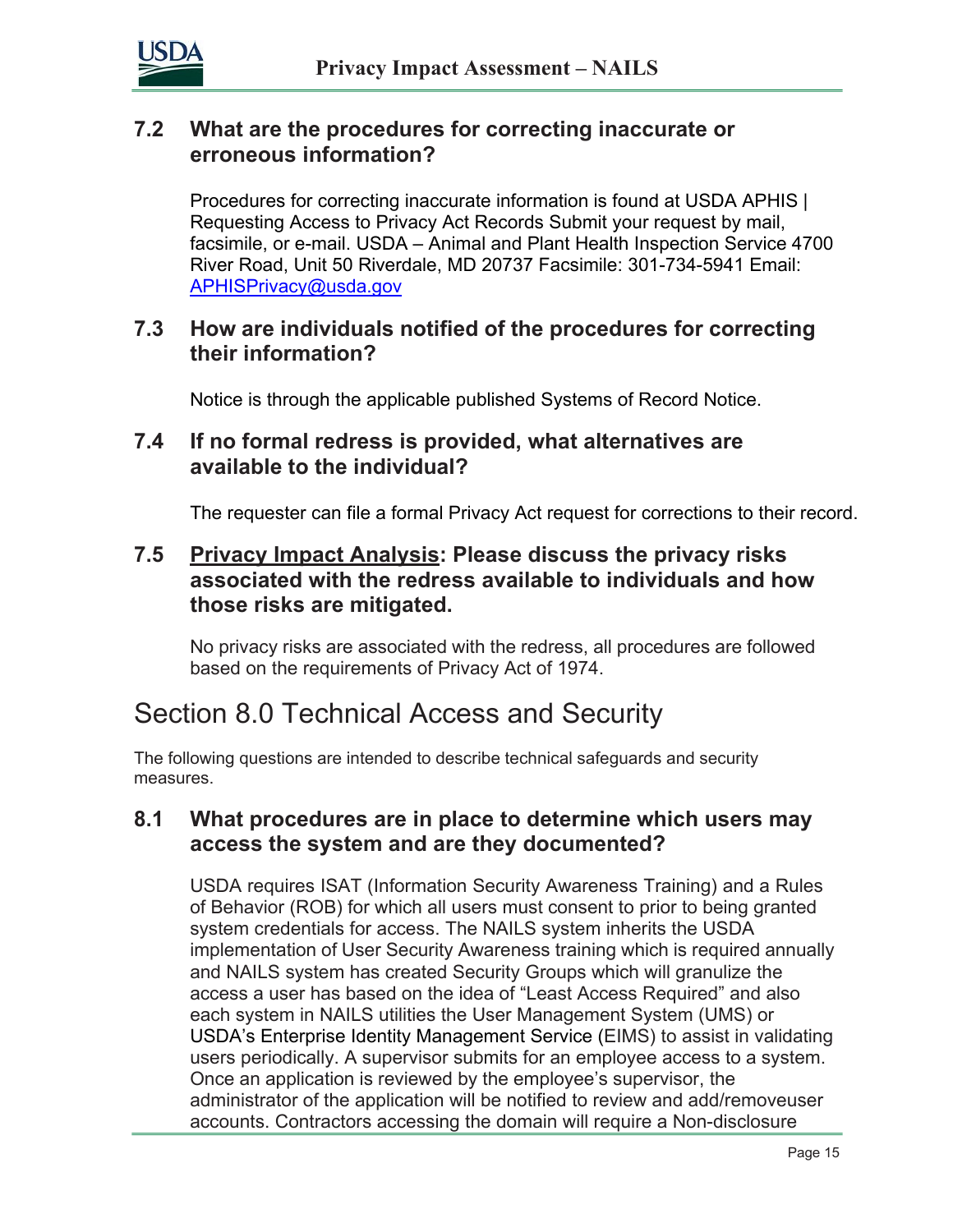

#### **7.2 What are the procedures for correcting inaccurate or erroneous information?**

Procedures for correcting inaccurate information is found at USDA APHIS | Requesting Access to Privacy Act Records Submit your request by mail, facsimile, or e-mail. USDA – Animal and Plant Health Inspection Service 4700 River Road, Unit 50 Riverdale, MD 20737 Facsimile: 301-734-5941 Email: [APHISPrivacy@usda.gov](mailto:APHISPrivacy@usda.gov)

#### **7.3 How are individuals notified of the procedures for correcting their information?**

Notice is through the applicable published Systems of Record Notice.

#### **7.4 If no formal redress is provided, what alternatives are available to the individual?**

The requester can file a formal Privacy Act request for corrections to their record.

#### **7.5 Privacy Impact Analysis: Please discuss the privacy risks associated with the redress available to individuals and how those risks are mitigated.**

No privacy risks are associated with the redress, all procedures are followed based on the requirements of Privacy Act of 1974.

# Section 8.0 Technical Access and Security

The following questions are intended to describe technical safeguards and security measures.

#### **8.1 What procedures are in place to determine which users may access the system and are they documented?**

USDA requires ISAT (Information Security Awareness Training) and a Rules of Behavior (ROB) for which all users must consent to prior to being granted system credentials for access. The NAILS system inherits the USDA implementation of User Security Awareness training which is required annually and NAILS system has created Security Groups which will granulize the access a user has based on the idea of "Least Access Required" and also each system in NAILS utilities the User Management System (UMS) or USDA's Enterprise Identity Management Service (EIMS) to assist in validating users periodically. A supervisor submits for an employee access to a system. Once an application is reviewed by the employee's supervisor, the administrator of the application will be notified to review and add/removeuser accounts. Contractors accessing the domain will require a Non-disclosure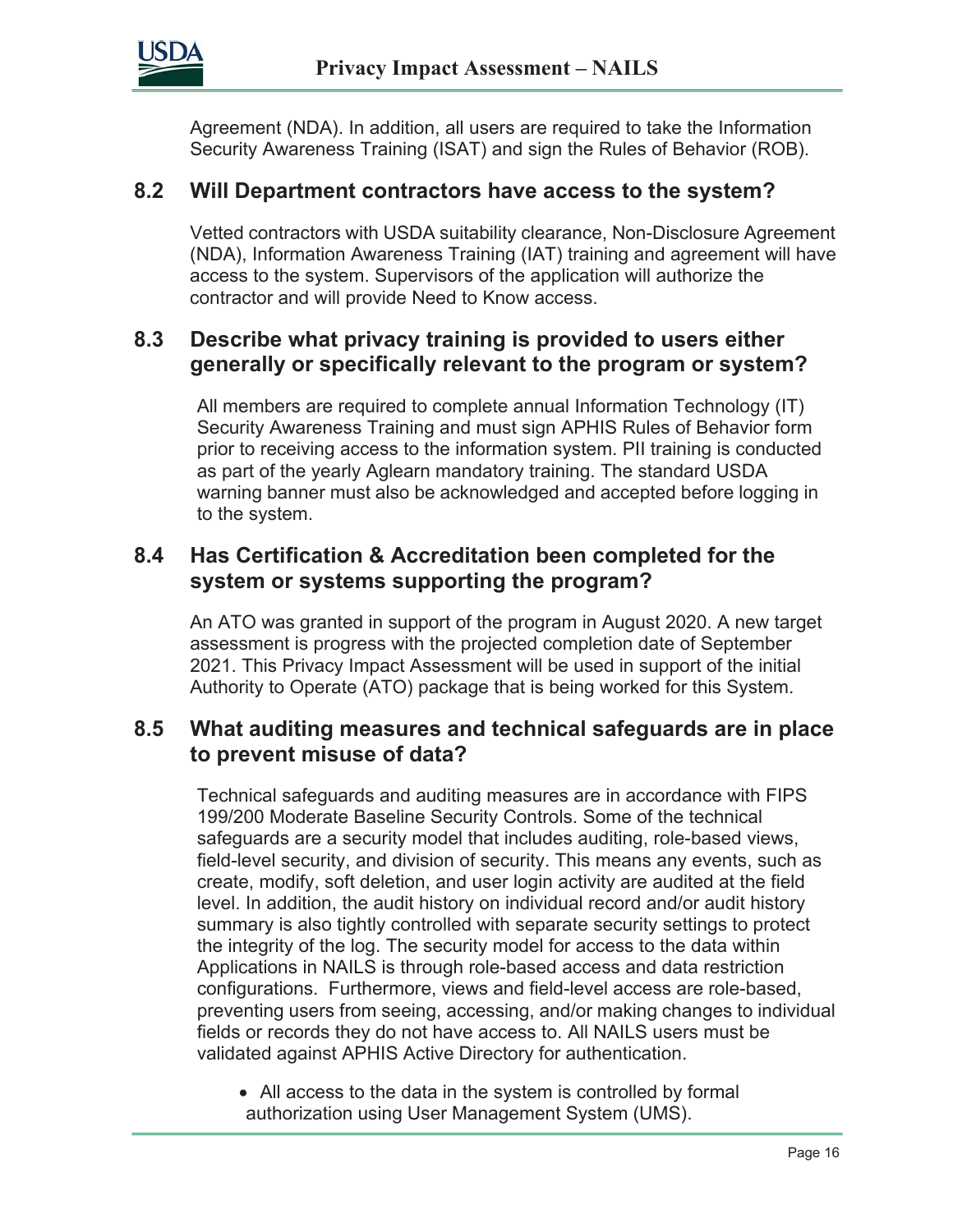

Agreement (NDA). In addition, all users are required to take the Information Security Awareness Training (ISAT) and sign the Rules of Behavior (ROB).

#### **8.2 Will Department contractors have access to the system?**

Vetted contractors with USDA suitability clearance, Non-Disclosure Agreement (NDA), Information Awareness Training (IAT) training and agreement will have access to the system. Supervisors of the application will authorize the contractor and will provide Need to Know access.

#### **8.3 Describe what privacy training is provided to users either generally or specifically relevant to the program or system?**

All members are required to complete annual Information Technology (IT) Security Awareness Training and must sign APHIS Rules of Behavior form prior to receiving access to the information system. PII training is conducted as part of the yearly Aglearn mandatory training. The standard USDA warning banner must also be acknowledged and accepted before logging in to the system.

#### **8.4 Has Certification & Accreditation been completed for the system or systems supporting the program?**

An ATO was granted in support of the program in August 2020. A new target assessment is progress with the projected completion date of September 2021. This Privacy Impact Assessment will be used in support of the initial Authority to Operate (ATO) package that is being worked for this System.

#### **8.5 What auditing measures and technical safeguards are in place to prevent misuse of data?**

Technical safeguards and auditing measures are in accordance with FIPS 199/200 Moderate Baseline Security Controls. Some of the technical safeguards are a security model that includes auditing, role-based views, field-level security, and division of security. This means any events, such as create, modify, soft deletion, and user login activity are audited at the field level. In addition, the audit history on individual record and/or audit history summary is also tightly controlled with separate security settings to protect the integrity of the log. The security model for access to the data within Applications in NAILS is through role-based access and data restriction configurations. Furthermore, views and field-level access are role-based, preventing users from seeing, accessing, and/or making changes to individual fields or records they do not have access to. All NAILS users must be validated against APHIS Active Directory for authentication.

• All access to the data in the system is controlled by formal authorization using User Management System (UMS).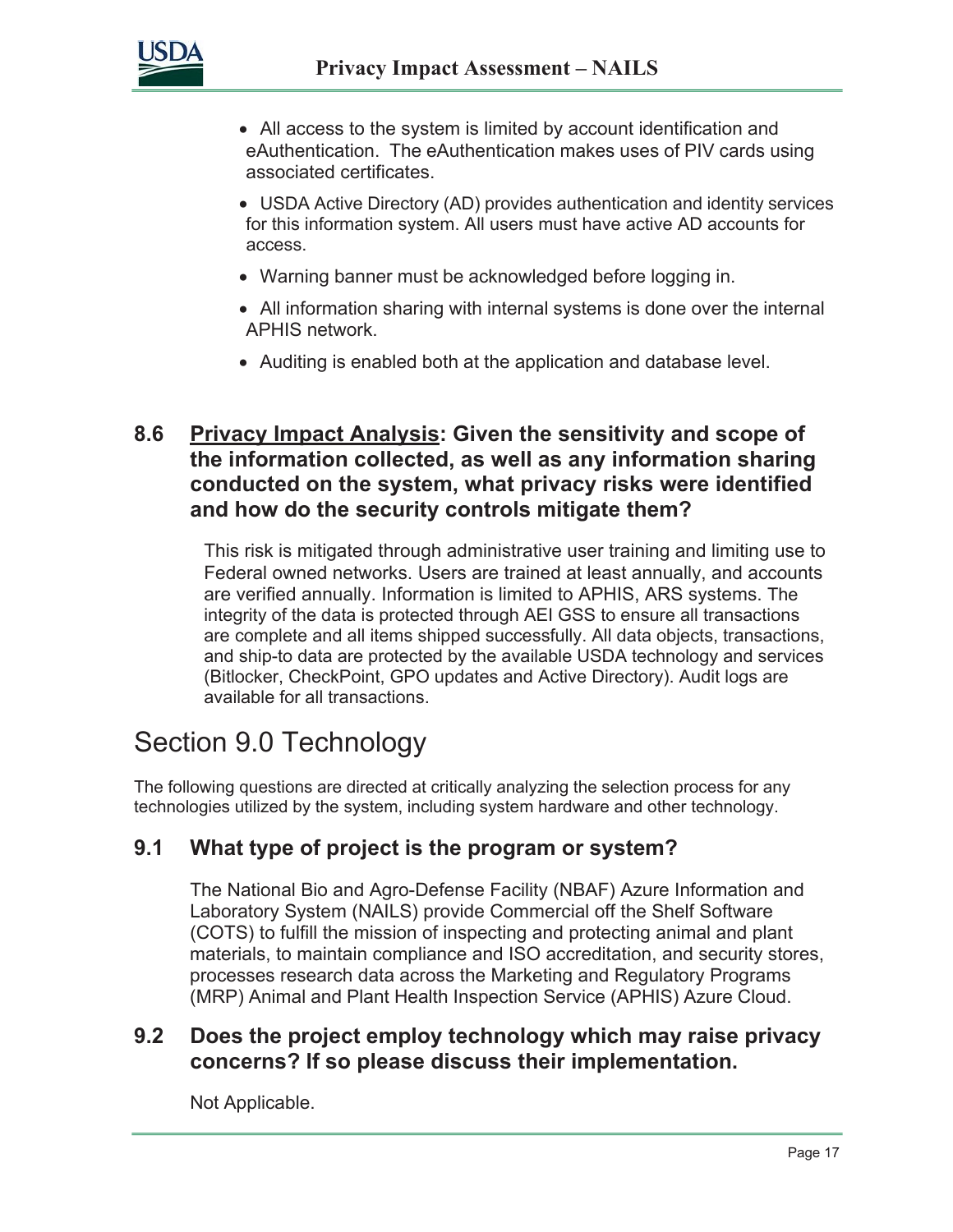

- All access to the system is limited by account identification and eAuthentication. The eAuthentication makes uses of PIV cards using associated certificates.
- USDA Active Directory (AD) provides authentication and identity services for this information system. All users must have active AD accounts for access.
- Warning banner must be acknowledged before logging in.
- All information sharing with internal systems is done over the internal APHIS network.
- Auditing is enabled both at the application and database level.

#### **8.6 Privacy Impact Analysis: Given the sensitivity and scope of the information collected, as well as any information sharing conducted on the system, what privacy risks were identified and how do the security controls mitigate them?**

This risk is mitigated through administrative user training and limiting use to Federal owned networks. Users are trained at least annually, and accounts are verified annually. Information is limited to APHIS, ARS systems. The integrity of the data is protected through AEI GSS to ensure all transactions are complete and all items shipped successfully. All data objects, transactions, and ship-to data are protected by the available USDA technology and services (Bitlocker, CheckPoint, GPO updates and Active Directory). Audit logs are available for all transactions.

### Section 9.0 Technology

The following questions are directed at critically analyzing the selection process for any technologies utilized by the system, including system hardware and other technology.

#### **9.1 What type of project is the program or system?**

The National Bio and Agro-Defense Facility (NBAF) Azure Information and Laboratory System (NAILS) provide Commercial off the Shelf Software (COTS) to fulfill the mission of inspecting and protecting animal and plant materials, to maintain compliance and ISO accreditation, and security stores, processes research data across the Marketing and Regulatory Programs (MRP) Animal and Plant Health Inspection Service (APHIS) Azure Cloud.

#### **9.2 Does the project employ technology which may raise privacy concerns? If so please discuss their implementation.**

Not Applicable.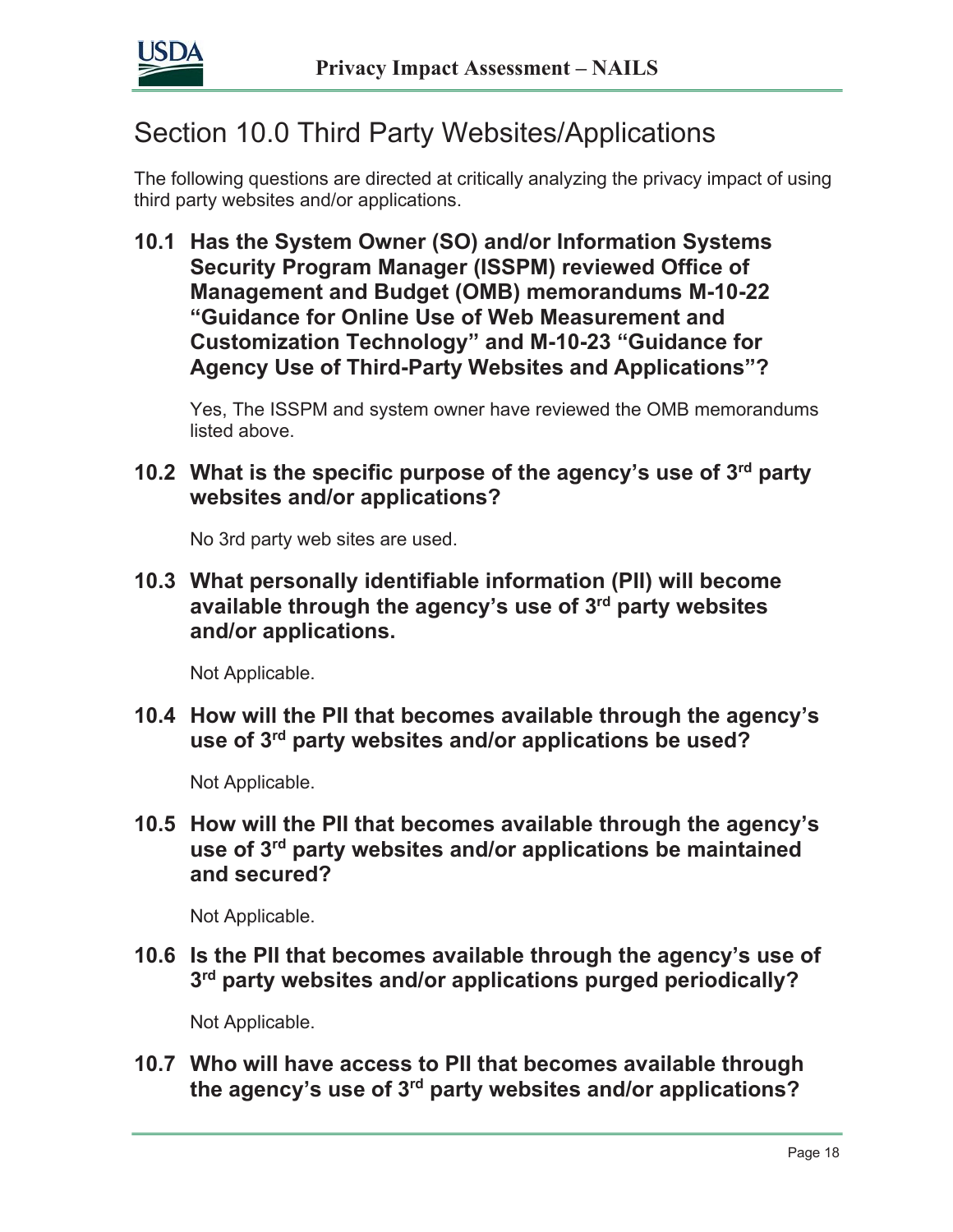

# Section 10.0 Third Party Websites/Applications

The following questions are directed at critically analyzing the privacy impact of using third party websites and/or applications.

**10.1 Has the System Owner (SO) and/or Information Systems Security Program Manager (ISSPM) reviewed Office of Management and Budget (OMB) memorandums M-10-22 "Guidance for Online Use of Web Measurement and Customization Technology" and M-10-23 "Guidance for Agency Use of Third-Party Websites and Applications"?**

Yes, The ISSPM and system owner have reviewed the OMB memorandums listed above.

**10.2 What is the specific purpose of the agency's use of 3rd party websites and/or applications?**

No 3rd party web sites are used.

**10.3 What personally identifiable information (PII) will become available through the agency's use of 3rd party websites and/or applications.**

Not Applicable.

**10.4 How will the PII that becomes available through the agency's use of 3rd party websites and/or applications be used?**

Not Applicable.

**10.5 How will the PII that becomes available through the agency's use of 3rd party websites and/or applications be maintained and secured?**

Not Applicable.

**10.6 Is the PII that becomes available through the agency's use of 3rd party websites and/or applications purged periodically?**

Not Applicable.

**10.7 Who will have access to PII that becomes available through the agency's use of 3rd party websites and/or applications?**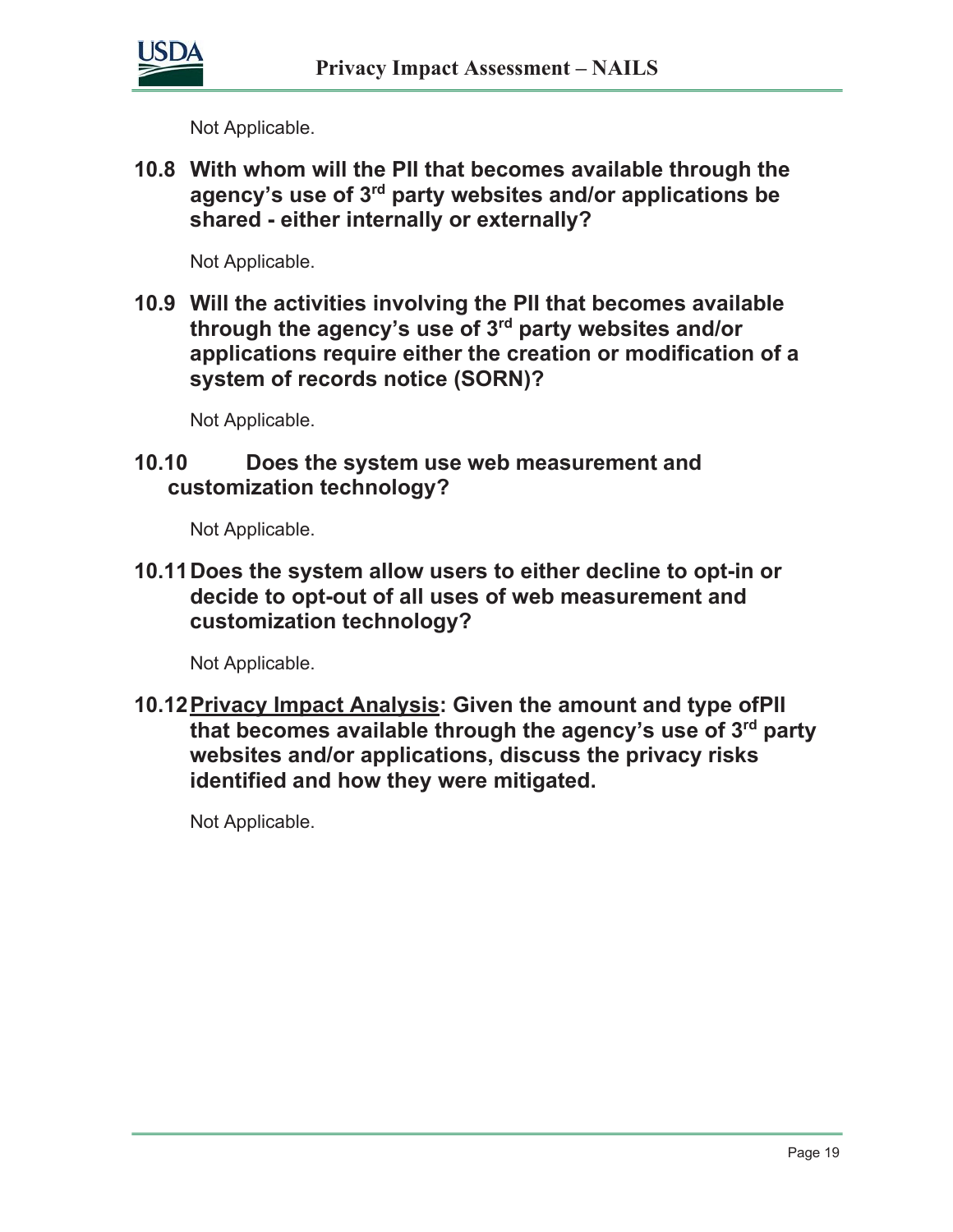

Not Applicable.

**10.8 With whom will the PII that becomes available through the agency's use of 3rd party websites and/or applications be shared - either internally or externally?**

Not Applicable.

**10.9 Will the activities involving the PII that becomes available through the agency's use of 3rd party websites and/or applications require either the creation or modification of a system of records notice (SORN)?**

Not Applicable.

#### **10.10 Does the system use web measurement and customization technology?**

Not Applicable.

**10.11Does the system allow users to either decline to opt-in or decide to opt-out of all uses of web measurement and customization technology?**

Not Applicable.

**10.12Privacy Impact Analysis: Given the amount and type ofPII that becomes available through the agency's use of 3rd party websites and/or applications, discuss the privacy risks identified and how they were mitigated.**

Not Applicable.